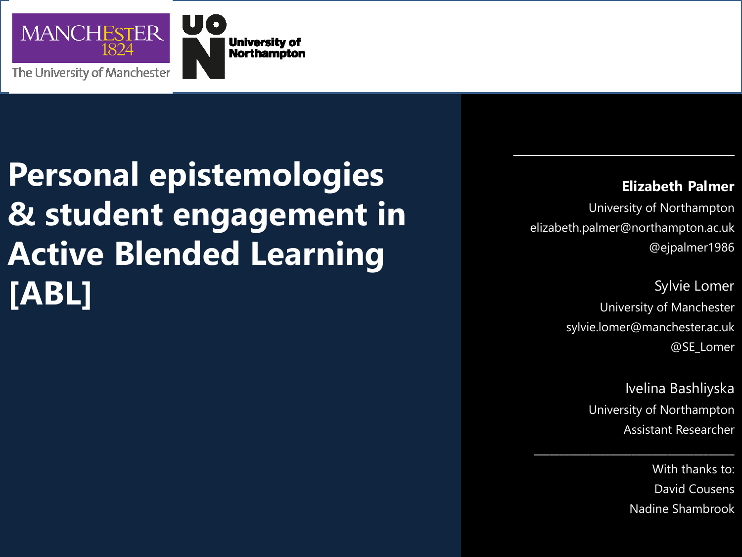

#### **Personal epistemologies & student engagement in Active Blended Learning [ABL]**

#### **Elizabeth Palmer**

University of Northampton elizabeth.palmer@northampton.ac.uk @ejpalmer1986

 $\mathcal{L}_\mathcal{L}$ 

Sylvie Lomer University of Manchester sylvie.lomer@manchester.ac.uk @SE\_Lomer

> Ivelina Bashliyska University of Northampton Assistant Researcher

\_\_\_\_\_\_\_\_\_\_\_\_\_\_\_\_\_\_\_\_\_\_\_\_\_\_\_\_\_\_\_\_\_\_\_\_\_\_\_

With thanks to: David Cousens Nadine Shambrook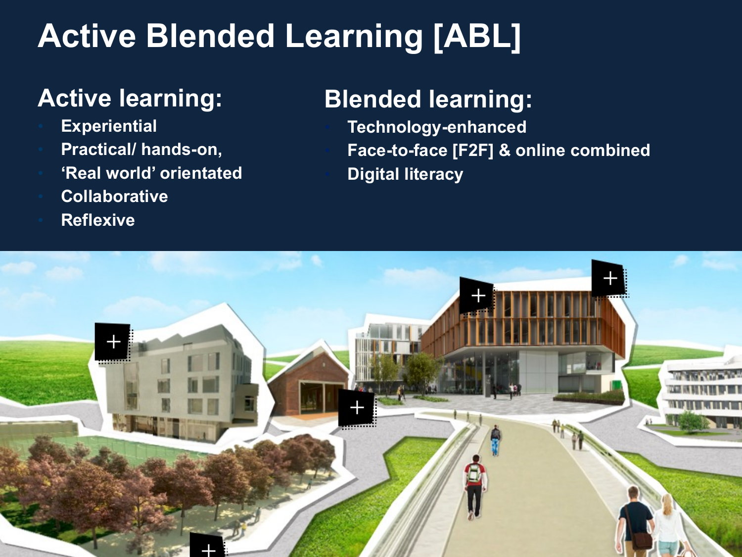#### **Active Blended Learning [ABL]**

#### **Active learning:**

- **Experiential**
- **Practical/ hands-on,**
- **'Real world' orientated**
- **Collaborative**
- **Reflexive**

#### **Blended learning:**

• **Technology-enhanced** • **Face-to-face [F2F] & online combined** • **Digital literacy**

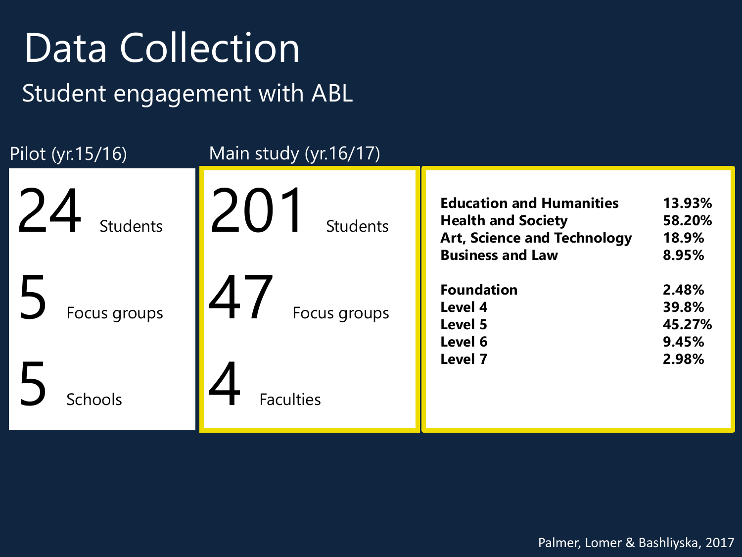## Data Collection

Student engagement with ABL

| Pilot (yr.15/16)      | Main study (yr. 16/17)        |                                                                                                                               |                                    |
|-----------------------|-------------------------------|-------------------------------------------------------------------------------------------------------------------------------|------------------------------------|
| 24<br><b>Students</b> | $\angle$ U<br><b>Students</b> | <b>Education and Humanities</b><br><b>Health and Society</b><br><b>Art, Science and Technology</b><br><b>Business and Law</b> | 13.93%<br>58.20%<br>18.9%<br>8.95% |
| Focus groups          | $\angle$<br>Focus groups      | <b>Foundation</b><br>Level 4<br>Level 5<br>Level 6                                                                            | 2.48%<br>39.8%<br>45.27%<br>9.45%  |
| <b>Schools</b>        | <b>Faculties</b>              | Level 7                                                                                                                       | 2.98%                              |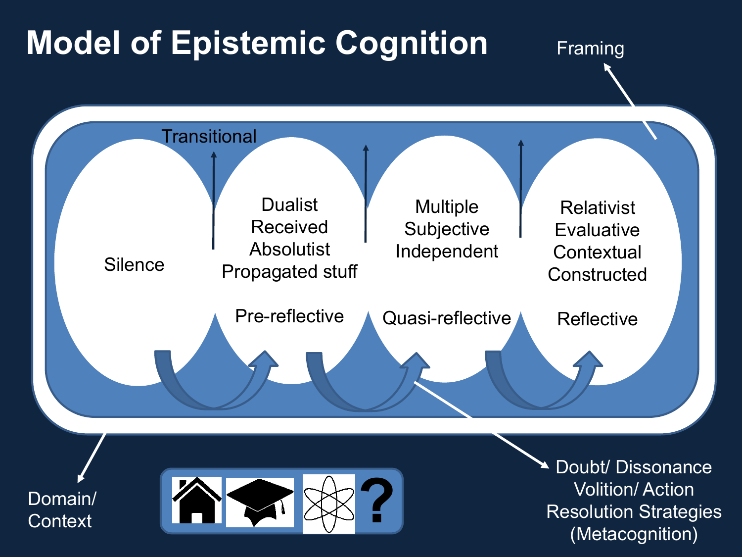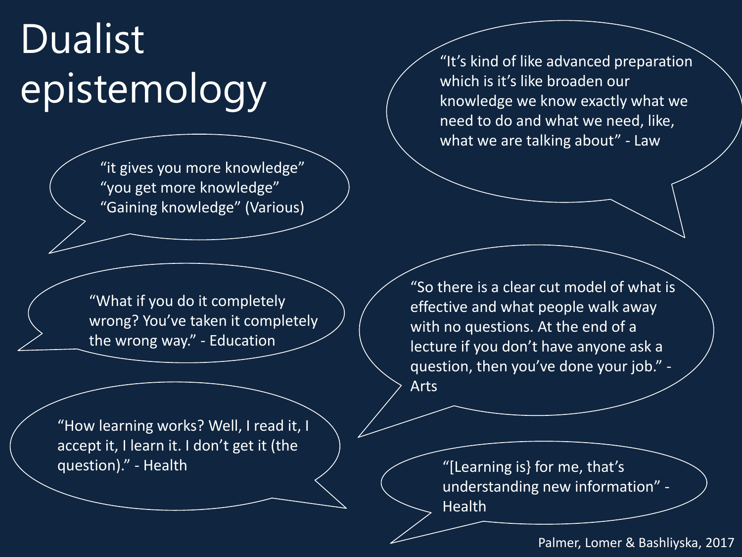## Dualist epistemology

"it gives you more knowledge" "you get more knowledge" "Gaining knowledge" (Various)

"It's kind of like advanced preparation which is it's like broaden our knowledge we know exactly what we need to do and what we need, like, what we are talking about" - Law

"What if you do it completely wrong? You've taken it completely the wrong way." - Education

"How learning works? Well, I read it, I accept it, I learn it. I don't get it (the question)." - Health

"So there is a clear cut model of what is effective and what people walk away with no questions. At the end of a lecture if you don't have anyone ask a question, then you've done your job." - Arts

> "[Learning is} for me, that's understanding new information" - Health

> > Palmer, Lomer & Bashliyska, 2017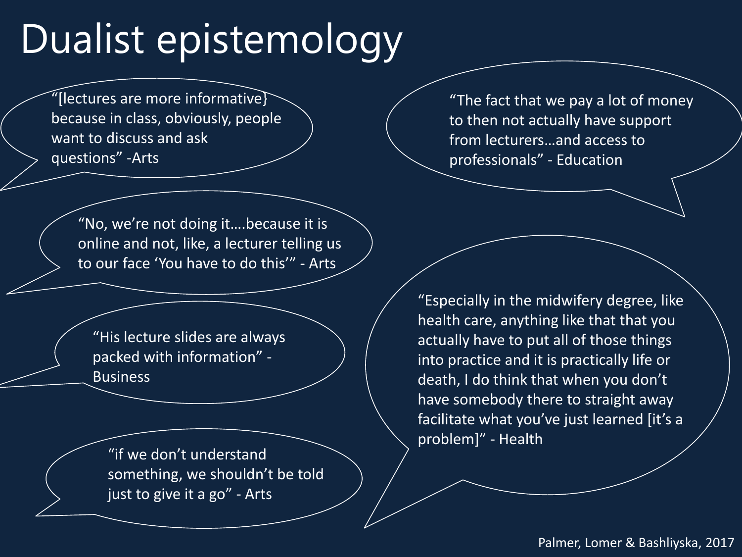## Dualist epistemology

"[lectures are more informative} because in class, obviously, people want to discuss and ask questions" -Arts

"The fact that we pay a lot of money to then not actually have support from lecturers…and access to professionals" - Education

"No, we're not doing it….because it is online and not, like, a lecturer telling us to our face 'You have to do this'" - Arts

"His lecture slides are always packed with information" - Business

"if we don't understand something, we shouldn't be told just to give it a go" - Arts

"Especially in the midwifery degree, like health care, anything like that that you actually have to put all of those things into practice and it is practically life or death, I do think that when you don't have somebody there to straight away facilitate what you've just learned [it's a problem]" - Health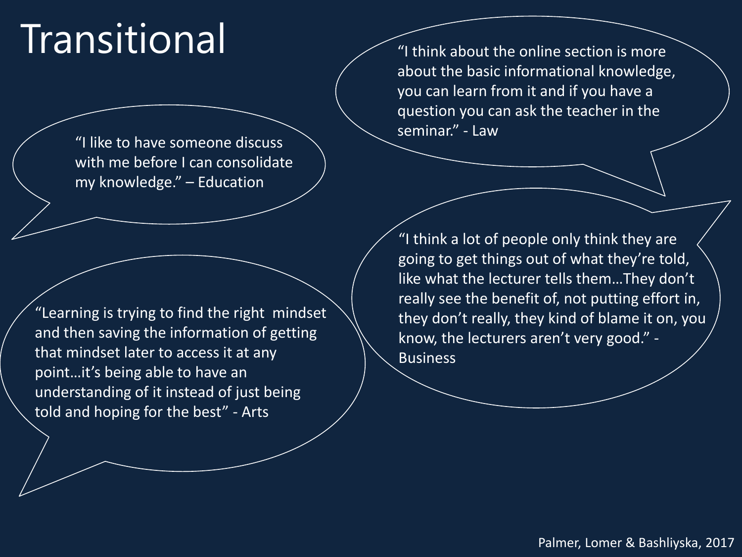## **Transitional**

"I like to have someone discuss with me before I can consolidate my knowledge." – Education

"Learning is trying to find the right mindset and then saving the information of getting that mindset later to access it at any point…it's being able to have an understanding of it instead of just being told and hoping for the best" - Arts

"I think about the online section is more about the basic informational knowledge, you can learn from it and if you have a question you can ask the teacher in the seminar." - Law

"I think a lot of people only think they are going to get things out of what they're told, like what the lecturer tells them…They don't really see the benefit of, not putting effort in, they don't really, they kind of blame it on, you know, the lecturers aren't very good." - Business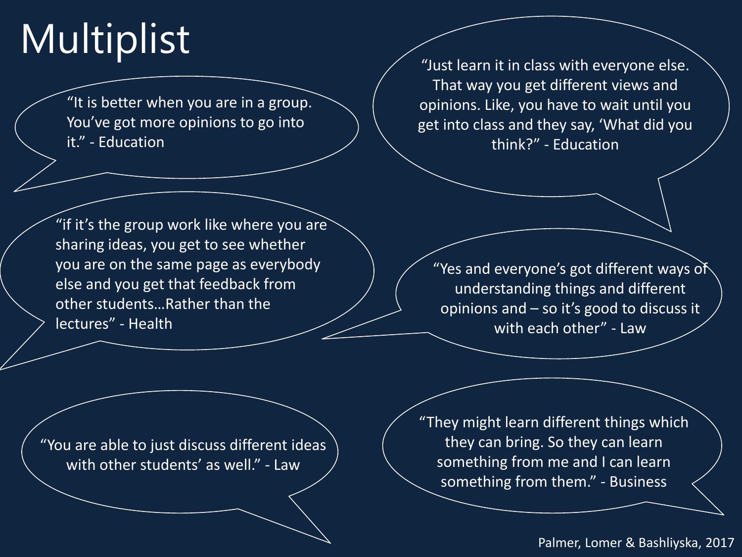## Multiplist

"It is better when you are in a group. You've got more opinions to go into it." - Education

"Just learn it in class with everyone else. That way you get different views and opinions. Like, you have to wait until you get into class and they say, 'What did you think?" - Education

"if it's the group work like where you are sharing ideas, you get to see whether you are on the same page as everybody else and you get that feedback from other students…Rather than the lectures" - Health

"Yes and everyone's got different ways of understanding things and different opinions and – so it's good to discuss it with each other" - Law

"You are able to just discuss different ideas with other students' as well." - Law

"They might learn different things which they can bring. So they can learn something from me and I can learn something from them." - Business

#### Palmer, Lomer & Bashliyska, 2017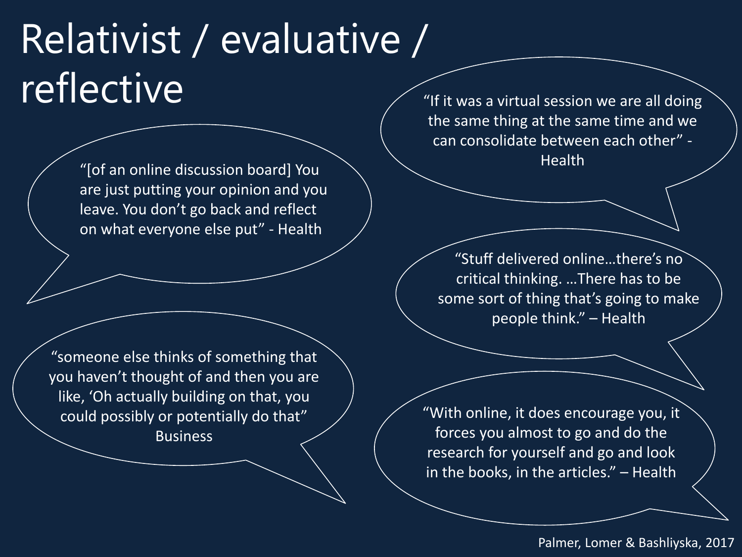## Relativist / evaluative /  $\mathsf{reflective}$

Health "[of an online discussion board] You are just putting your opinion and you leave. You don't go back and reflect on what everyone else put" - Health

"someone else thinks of something that you haven't thought of and then you are like, 'Oh actually building on that, you could possibly or potentially do that" Business

the same thing at the same time and we can consolidate between each other" -

"Stuff delivered online…there's no critical thinking. …There has to be some sort of thing that's going to make people think." – Health

"With online, it does encourage you, it forces you almost to go and do the research for yourself and go and look in the books, in the articles." – Health

Palmer, Lomer & Bashliyska, 2017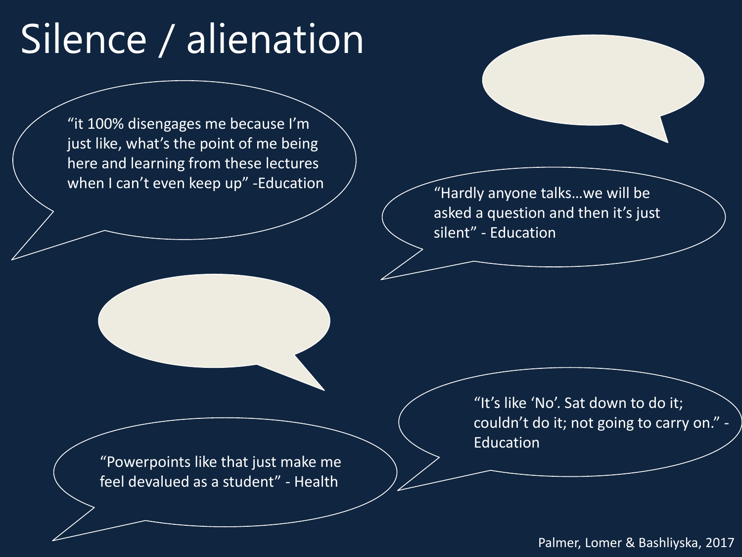## Silence / alienation

"it 100% disengages me because I'm just like, what's the point of me being here and learning from these lectures when I can't even keep up" -Education

"Hardly anyone talks…we will be asked a question and then it's just silent" - Education

"Powerpoints like that just make me feel devalued as a student" - Health

"It's like 'No'. Sat down to do it; couldn't do it; not going to carry on." - Education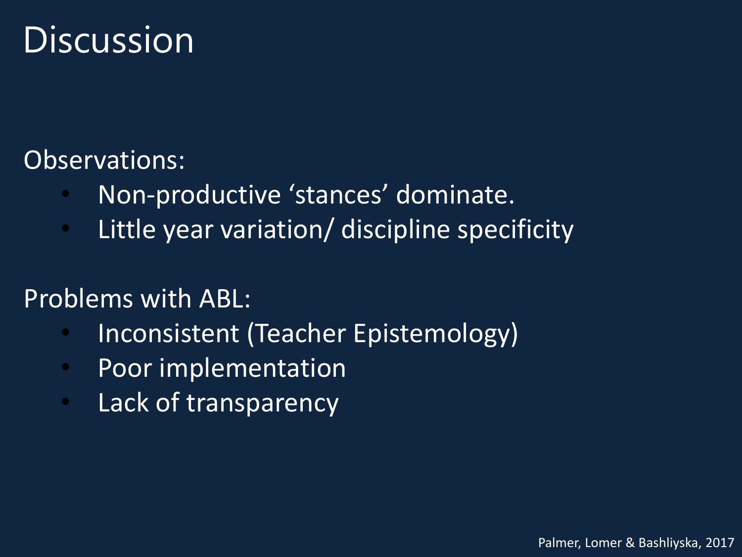#### Discussion

#### Observations:

- Non-productive 'stances' dominate.
- Little year variation/ discipline specificity

#### Problems with ABL:

- Inconsistent (Teacher Epistemology)
- Poor implementation
- Lack of transparency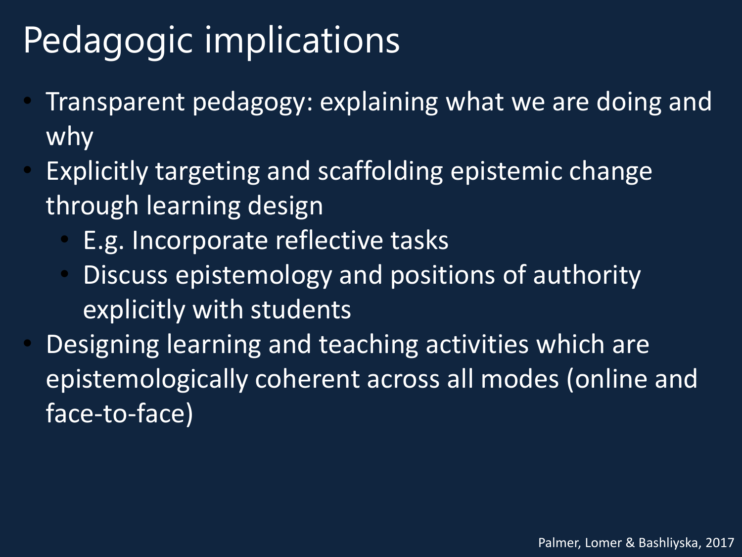#### Pedagogic implications

- Transparent pedagogy: explaining what we are doing and why
- Explicitly targeting and scaffolding epistemic change through learning design
	- E.g. Incorporate reflective tasks
	- Discuss epistemology and positions of authority explicitly with students
- Designing learning and teaching activities which are epistemologically coherent across all modes (online and face-to-face)